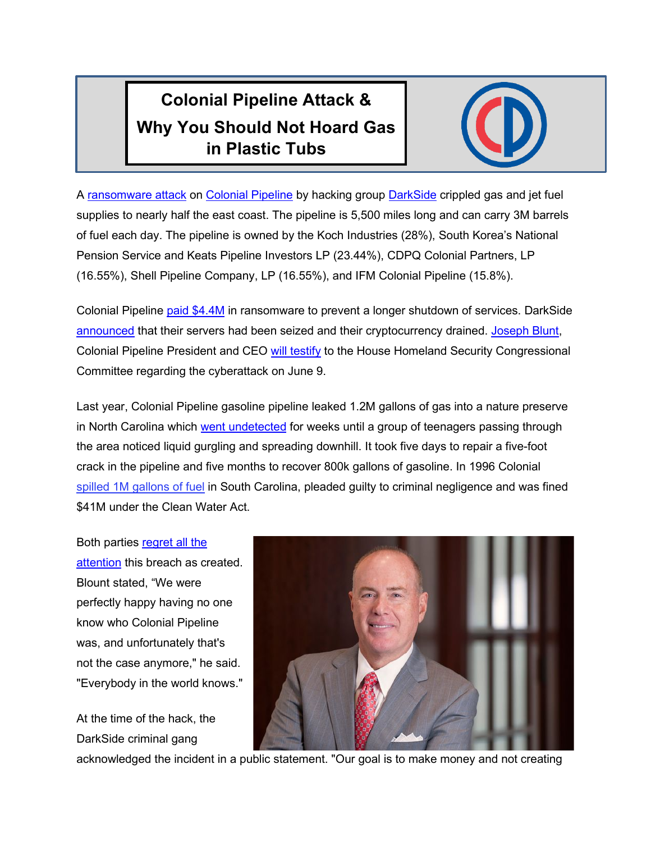## **Colonial Pipeline Attack & Why You Should Not Hoard Gas in Plastic Tubs**



A [ransomware attack](https://www.fbi.gov/news/pressrel/press-releases/fbi-statement-on-compromise-of-colonial-pipeline-networks) on [Colonial Pipeline](https://en.wikipedia.org/wiki/Colonial_Pipeline) by hacking group [DarkSide](https://en.wikipedia.org/wiki/DarkSide_(hacking_group)) crippled gas and jet fuel supplies to nearly half the east coast. The pipeline is 5,500 miles long and can carry 3M barrels of fuel each day. The pipeline is owned by the Koch Industries (28%), South Korea's National Pension Service and Keats Pipeline Investors LP (23.44%), CDPQ Colonial Partners, LP (16.55%), Shell Pipeline Company, LP (16.55%), and IFM Colonial Pipeline (15.8%).

Colonial Pipeline [paid \\$4.4M](https://www.bbc.com/news/business-57178503) in ransomware to prevent a longer shutdown of services. DarkSide [announced](https://krebsonsecurity.com/2021/05/darkside-ransomware-gang-quits-after-servers-bitcoin-stash-seized/) that their servers had been seized and their cryptocurrency drained. [Joseph Blunt,](https://www.linkedin.com/in/joseph-a-blount-jr-baa96b12/) Colonial Pipeline President and CEO [will testify](https://www.thetelegraph.com/news/article/Colonial-Pipeline-CEO-to-testify-before-Congress-16192166.php) to the House Homeland Security Congressional Committee regarding the cyberattack on June 9.

Last year, Colonial Pipeline gasoline pipeline leaked 1.2M gallons of gas into a nature preserve in North Carolina which [went undetected](http://www.ncpolicywatch.com/2020/08/27/two-weeks-after-colonial-pipeline-gasoline-spill-huntersville-residents-alarmed-about-ongoing-lack-of-transparency/) for weeks until a group of teenagers passing through the area noticed liquid gurgling and spreading downhill. It took five days to repair a five-foot crack in the pipeline and five months to recover 800k gallons of gasoline. In 1996 Colonial [spilled 1M gallons of fuel](https://www.covnews.com/opinion/columnists/spigolon-time-work-around-colonial-pipeline/) in South Carolina, pleaded guilty to criminal negligence and was fined \$41M under the Clean Water Act.

Both parties regret all the [attention](https://www.bbc.com/news/business-57178503) this breach as created. Blount stated, "We were perfectly happy having no one know who Colonial Pipeline was, and unfortunately that's not the case anymore," he said. "Everybody in the world knows."

At the time of the hack, the DarkSide criminal gang



acknowledged the incident in a public statement. "Our goal is to make money and not creating